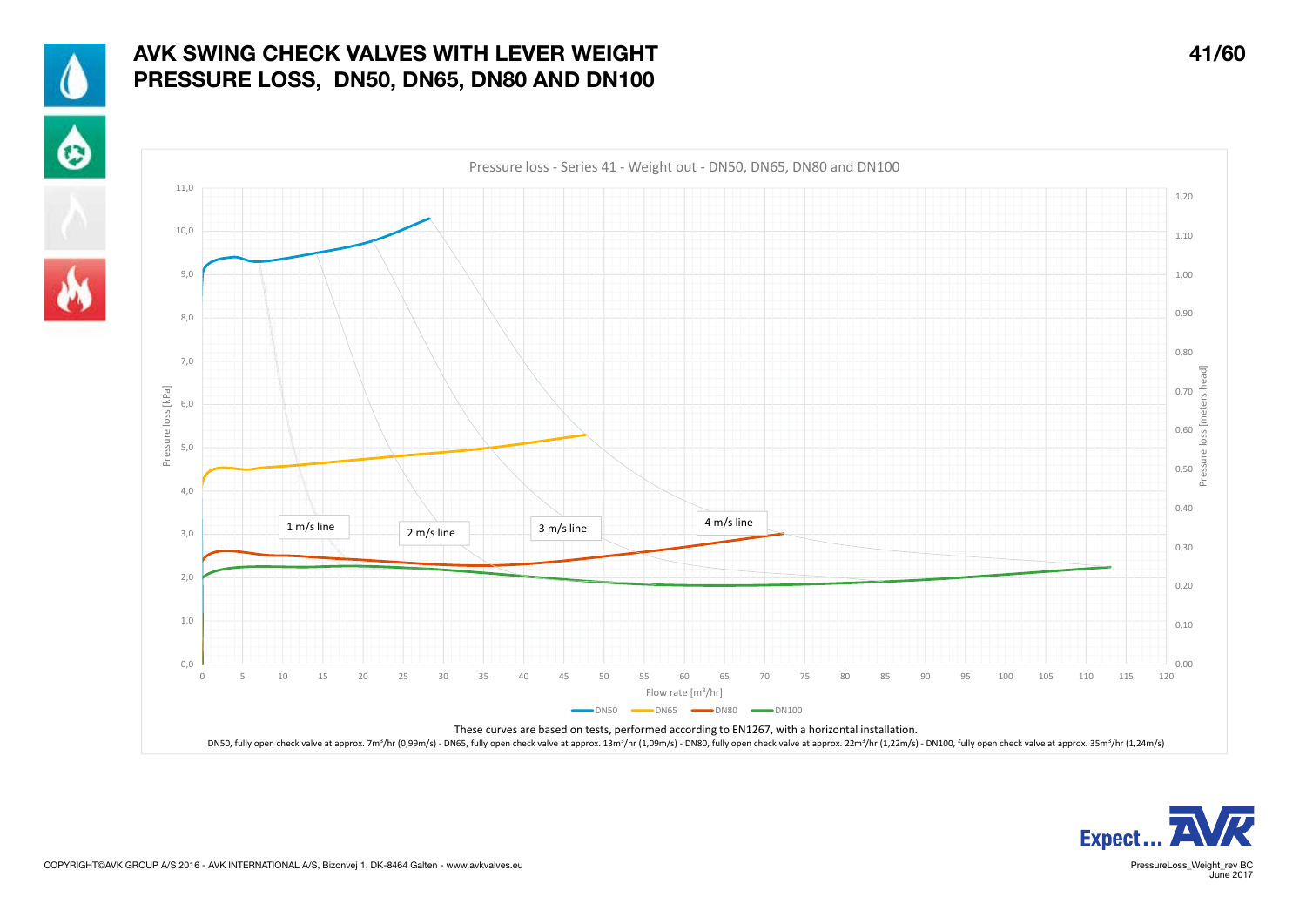

## AVK SWING CHECK VALVES WITH LEVER WEIGHT AND MODEL AND MODEL AT A 41/60 PRESSURE LOSS, DN50, DN65, DN80 AND DN100









PressureLoss\_Weight\_rev BC<br>June 2017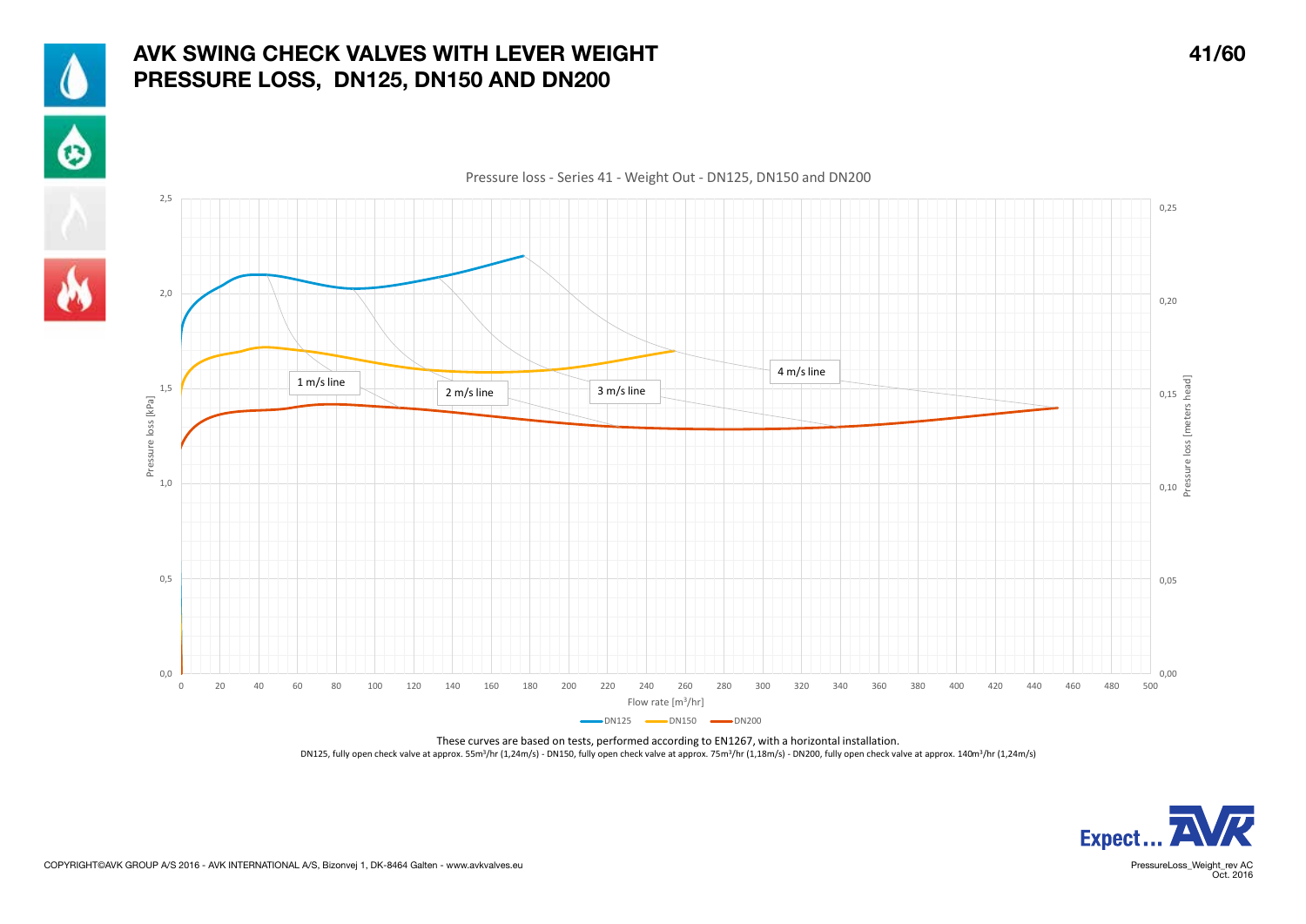

## AVK SWING CHECK VALVES WITH LEVER WEIGHT 41/60 PRESSURE LOSS, DN125, DN150 AND DN200

 $\ddot{\bullet}$ 





Pressure loss - Series 41 - Weight Out - DN125, DN150 and DN200

These curves are based on tests, performed according to EN1267, with a horizontal installation. DN125, fully open check valve at approx. 55m3/hr (1,24m/s) - DN150, fully open check valve at approx. 75m<sup>3</sup>/hr (1,18m/s) - DN200, fully open check valve at approx. 140m<sup>3</sup>/hr (1,24m/s)



PressureLoss\_Weight\_rev AC<br>Oct. 2016